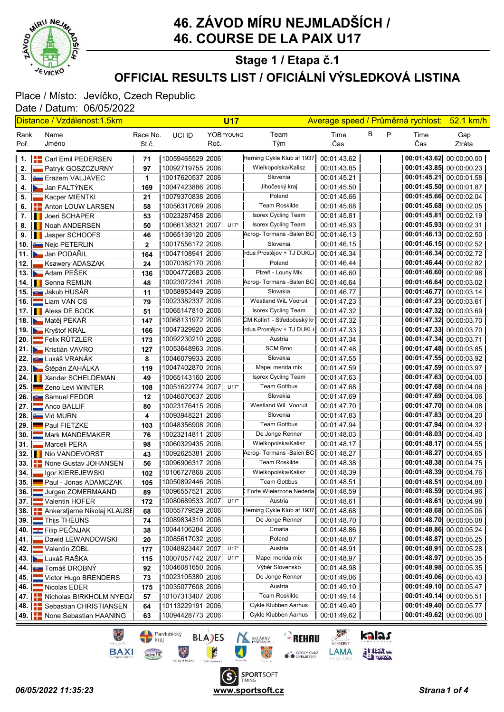

# 46. ZÁVOD MÍRU NEJMLADŠÍCH / 46. COURSE DE LA PAIX U17

#### OFFICIAL RESULTS LIST / OFICIÁLNÍ VÝSLEDKOVÁ LISTINA Stage 1 / Etapa č.1

#### Place / Místo: Jevíčko, Czech Republic Date / Datum: 06/05/2022

|                  | <u> Distance / Vzdálenost:1.5km</u>                 |              |                    |      | <b>U17</b> |                            | Average speed / Průměrná rychlost: |   |   |                           | <u>52.1 km/h</u>        |  |
|------------------|-----------------------------------------------------|--------------|--------------------|------|------------|----------------------------|------------------------------------|---|---|---------------------------|-------------------------|--|
| Rank             | Name                                                | Race No.     | UCI ID             |      | YOB *YOUNG | Team                       | Time                               | В | P | Time                      | Gap                     |  |
| Poř.             | Jméno                                               | St.č.        |                    | Roč. |            | Tým                        | Čas                                |   |   | Čas                       | Ztráta                  |  |
|                  |                                                     |              | 10059465529 2006   |      |            | Herning Cykle Klub af 1937 | 00:01:43.62                        |   |   | 00:01:43.62 00:00:00.00   |                         |  |
|                  | 1. <b>  Carl Emil PEDERSEN</b><br>Patryk GOSZCZURNY | 71<br>97     | 1009271975512006   |      |            | Wielkopolska/Kalisz        | 00:01:43.85                        |   |   | 00:01:43.85 00:00:00.23   |                         |  |
| $2.$ $\parallel$ |                                                     |              | 10017620537 2006   |      |            | Slovenia                   | 00:01:45.21                        |   |   | 00:01:45.21 00:00:01.58   |                         |  |
| 4.               | 3. Erazem VALJAVEC<br>Jan FALTÝNEK                  | 1<br>169     | 10047423886 2006   |      |            | Jihočeský kraj             | 00:01:45.50                        |   |   | 00:01:45.50 00:00:01.87   |                         |  |
| 5.               | – Kacper MIENTKI                                    | 21           | 10079370838 2006   |      |            | Poland                     | 00:01:45.66                        |   |   | 00:01:45.66 00:00:02.04   |                         |  |
| 6.               | <b>EL</b> Anton LOUW LARSEN                         | 58           | 10056317069 2006   |      |            | <b>Team Roskilde</b>       | 00:01:45.68                        |   |   | 00:01:45.68 00:00:02.05   |                         |  |
|                  | 7. Il Joeri SCHAPER                                 | 53           | 10023287458 2006   |      |            | Isorex Cycling Team        | 00:01:45.81                        |   |   | 00:01:45.81 00:00:02.19   |                         |  |
|                  | 8. I Noah ANDERSEN                                  | 50           | 10066138321 2007   |      | $U17*$     | Isorex Cycling Team        | 00:01:45.93                        |   |   | 00:01:45.93 00:00:02.31   |                         |  |
|                  | 9. I Jasper SCHOOFS                                 | 46           | 10065139120 2006   |      |            | Acrog-Tormans - Balen BC   | 00:01:46.13                        |   |   | 00:01:46.13 00:00:02.50   |                         |  |
|                  | 10. Nejc PETERLIN                                   | $\mathbf{2}$ | 10017556172 2006   |      |            | Slovenia                   | 00:01:46.15                        |   |   | $00:01:46.15$ 00:00:02.52 |                         |  |
|                  | 11. Jan PODAŘIL                                     | 164          | 10047108941 2006   |      |            | rdus Prostějov + TJ DUKL/  | 00:01:46.34                        |   |   | 00:01:46.34 00:00:02.72   |                         |  |
| 12. I            | Ksawery ADASZAK                                     | 24           | 10070382170 2006   |      |            | Poland                     | 00:01:46.44                        |   |   | 00:01:46.44 00:00:02.82   |                         |  |
|                  | 13. Adam PEŠEK                                      | 136          | 10004772683 2006   |      |            | Plzeň - Louny Mix          | 00:01:46.60                        |   |   | 00:01:46.60 00:00:02.98   |                         |  |
|                  | 14. <b>I</b> Senna REMIJN                           | 48           | 10023072341 2006   |      |            | Acrog- Tormans - Balen BC  | 00:01:46.64                        |   |   | 00:01:46.64 00:00:03.02   |                         |  |
|                  | 15. <b>Jakub HUSAR</b>                              | 11           | 10058953449 2006   |      |            | Slovakia                   | 00:01:46.77                        |   |   | 00:01:46.77               | 00:00:03.14             |  |
|                  | 16. Liam VAN OS                                     | 79           | 10023382337 2006   |      |            | Westland WiL Vooruit       | 00:01:47.23                        |   |   | 00:01:47.23 00:00:03.61   |                         |  |
|                  | 17. <b>I</b> Aless DE BOCK                          | 51           | 10065147810 2006   |      |            | <b>Isorex Cycling Team</b> | 00:01:47.32                        |   |   | 00:01:47.32 00:00:03.69   |                         |  |
|                  | 18. Matěj PEKAŘ                                     | 147          | 10068131972 2006   |      |            | CM Kolín1 - Středočeský kr | 00:01:47.32                        |   |   | 00:01:47.32 00:00:03.70   |                         |  |
|                  | 19. Kryštof KRÁL                                    | 166          | 10047329920 2006   |      |            | rdus Prostějov + TJ DUKL/  | 00:01:47.33                        |   |   | 00:01:47.33 00:00:03.70   |                         |  |
|                  | 20. <b>Example 3</b> Felix RÜTZLER                  | 173          | 10092230210 2006   |      |            | Austria                    | 00:01:47.34                        |   |   | 00:01:47.34               | 00:00:03.71             |  |
|                  | 21. Kristián VAVRO                                  | 127          | 10053648963 2006   |      |            | <b>SCM Brno</b>            | 00:01:47.48                        |   |   | 00:01:47.48 00:00:03.85   |                         |  |
|                  | 22. <b>JU L</b> ukáš VRANÁK                         | 8            | 10046079933 2006   |      |            | Slovakia                   | 00:01:47.55                        |   |   | 00:01:47.55 00:00:03.92   |                         |  |
|                  | 23. E Štěpán ZAHÁLKA                                | 119          | 10047402870 2006   |      |            | Mapei merida mix           | 00:01:47.59                        |   |   | 00:01:47.59 00:00:03.97   |                         |  |
|                  | 24.   Xander SCHELDEMAN                             | 49           | 10065143160 2006   |      |            | Isorex Cycling Team        | 00:01:47.63                        |   |   | 00:01:47.63 00:00:04.00   |                         |  |
|                  | 25. Zeno Levi WINTER                                | 108          | 10051622774  2007  |      | $U17*$     | <b>Team Gottbus</b>        | 00:01:47.68                        |   |   | 00:01:47.68 00:00:04.06   |                         |  |
|                  | 26. <b>JUL</b> Samuel FEDOR                         | 12           | 10046070637   2006 |      |            | Slovakia                   | 00:01:47.69                        |   |   | 00:01:47.69 00:00:04.06   |                         |  |
|                  | 27. Anco BALLIF                                     | 80           | 10023176415 2006   |      |            | Westland WiL Vooruit       | 00:01:47.70                        |   |   | 00:01:47.70 00:00:04.08   |                         |  |
|                  | 28. Vid MURN                                        | 4            | 10093948221 2006   |      |            | Slovenia                   | 00:01:47.83                        |   |   | 00:01:47.83 00:00:04.20   |                         |  |
|                  | 29. Paul FIETZKE                                    | 103          | 10048356908 2006   |      |            | <b>Team Gottbus</b>        | 00:01:47.94                        |   |   | 00:01:47.94 00:00:04.32   |                         |  |
| 30. II           | Mark MANDEMAKER                                     | 76           | 10023214811 2006   |      |            | De Jonge Renner            | 00:01:48.03                        |   |   | 00:01:48.03 00:00:04.40   |                         |  |
| 31. I            | Marceli PERA                                        | 98           | 10060329435 2006   |      |            | Wielkopolska/Kalisz        | 00:01:48.17                        |   |   | 00:01:48.17 00:00:04.55   |                         |  |
|                  | 32. Il Nio VANDEVORST                               | 43           | 10092625381 2006   |      |            | Acrog- Tormans - Balen BC  | 00:01:48.27                        |   |   | 00:01:48.27 00:00:04.65   |                         |  |
|                  | 33. <b>THE None Gustav JOHANSEN</b>                 | 56           | 10096906317 2006   |      |            | Team Roskilde              | 00:01:48.38                        |   |   | 00:01:48.38 00:00:04.75   |                         |  |
| 34. II           | Igor KIEREJEWSKI                                    | 102          | 10106727868 2006   |      |            | Wielkopolska/Kalisz        | 00:01:48.39                        |   |   | 00:01:48.39 00:00:04.76   |                         |  |
|                  | 35. Paul - Jonas ADAMCZAK                           | 105          | 10050892446 2006   |      |            | <b>Team Gottbus</b>        | 00:01:48.51                        |   |   | 00:01:48.51 00:00:04.88   |                         |  |
|                  | 36. Jurgen ZOMERMAAND                               | 89           | 10096557521 2006   |      |            | Forte Wielerzone Nederla   | 00:01:48.59                        |   |   | 00:01:48.59 00:00:04.96   |                         |  |
| 37. L            | Valentin HOFER                                      | 172          | 10080689533 2007   |      | $U17*$     | Austria                    | 00:01:48.61                        |   |   | 00:01:48.61 00:00:04.98   |                         |  |
|                  | 38. <b>Ankerstjerne Nikolaj KLAUSE</b>              | 68           | 10055779529 2006   |      |            | Herning Cykle Klub af 1937 | 00:01:48.68                        |   |   | 00:01:48.68 00:00:05.06   |                         |  |
| 39. I            | Thijs THEUNS                                        | 74           | 10089834310 2006   |      |            | De Jonge Renner            | 00:01:48.70                        |   |   | 00:01:48.70 00:00:05.08   |                         |  |
|                  | 40. <b>EL</b> Filip PEČNJAK                         | 38           | 10044106284 2006   |      |            | Croatia                    | 00:01:48.86                        |   |   | 00:01:48.86 00:00:05.24   |                         |  |
| 41.              | Dawid LEWANDOWSKI                                   | 20           | 10085617032 2006   |      |            | Poland                     | 00:01:48.87                        |   |   | 00:01:48.87 00:00:05.25   |                         |  |
| 42.              | Valentin ZOBL                                       | 177          | 10048923447 2007   |      | $U17*$     | Austria                    | 00:01:48.91                        |   |   | 00:01:48.91 00:00:05.28   |                         |  |
|                  | 43. Lukáš RAŠKA                                     | 115          | 10007057742 2007   |      | $U17*$     | Mapei merida mix           | 00:01:48.97                        |   |   | 00:01:48.97 00:00:05.35   |                         |  |
|                  | 44. <b>JUL</b> Tomáš DROBNÝ                         | 92           | 10046081650 2006   |      |            | Výběr Slovensko            | 00:01:48.98                        |   |   | 00:01:48.98 00:00:05.35   |                         |  |
| 45. I            | Victor Hugo BRENDERS                                | 73           | 10023105380 2006   |      |            | De Jonge Renner            | 00:01:49.06                        |   |   | 00:01:49.06 00:00:05.43   |                         |  |
| 46. I            | Nicolas EDER                                        | 175          | 10035077608 2006   |      |            | Austria                    | 00:01:49.10                        |   |   | 00:01:49.10 00:00:05.47   |                         |  |
|                  | 47. F Nicholas BIRKHOLM NYEGA                       | 57           | 10107313407 2006   |      |            | Team Roskilde              | 00:01:49.14                        |   |   | 00:01:49.14 00:00:05.51   |                         |  |
|                  | 48. <b>E.</b> Sebastian CHRISTIANSEN                | 64           | 10113229191 2006   |      |            | Cykle Klubben Aarhus       | 00:01:49.40                        |   |   | 00:01:49.40 00:00:05.77   |                         |  |
|                  | 49. <b>        None Sebastian HAANING</b>           | 63           | 10094428773 2006   |      |            | Cykle Klubben Aarhus       | 00:01:49.62                        |   |   |                           | 00:01:49.62 00:00:06.00 |  |

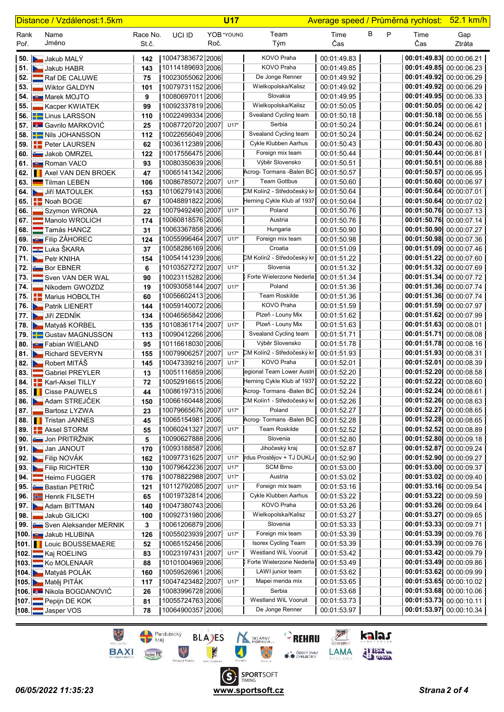|              | Distance / Vzdálenost:1.5km                                  |                   |                                      |      | <b>U17</b> |                                              | Average speed / Průměrná rychlost: |   |   |                         | <u>52.1 km/h</u>                                   |
|--------------|--------------------------------------------------------------|-------------------|--------------------------------------|------|------------|----------------------------------------------|------------------------------------|---|---|-------------------------|----------------------------------------------------|
| Rank<br>Poř. | Name<br>Jméno                                                | Race No.<br>St.č. | UCI ID                               | Roč. | YOB *YOUNG | Team<br>Tým                                  | Time<br>Čas                        | В | P | Time<br>Čas             | Gap<br>Ztráta                                      |
|              | 50. Jakub MALÝ                                               | 142               | 10047383672 2006                     |      |            | KOVO Praha                                   | 00:01:49.83                        |   |   | 00:01:49.83 00:00:06.21 |                                                    |
|              | 51. Jakub HABR                                               | 143               | 10114189693 2006                     |      |            | KOVO Praha                                   | 00:01:49.85                        |   |   |                         | 00:01:49.85 00:00:06.23                            |
|              | 52. <b>Example 32.</b> Raf DE CALUWE                         | 75                | 10023055062 2006                     |      |            | De Jonge Renner                              | 00:01:49.92                        |   |   |                         | 00:01:49.92 00:00:06.29                            |
| 53.          | <b>Wiktor GALDYN</b>                                         | 101               | 10079731152 2006                     |      |            | Wielkopolska/Kalisz                          | 00:01:49.92                        |   |   |                         | 00:01:49.92 00:00:06.29                            |
|              | 54. <b>July</b> Marek MOJTO                                  | 9                 | 10080697011 2006                     |      |            | Slovakia                                     | 00:01:49.95                        |   |   |                         | 00:01:49.95 00:00:06.33                            |
| 55.          | Kacper KWIATEK                                               | 99                | 10092337819 2006                     |      |            | Wielkopolska/Kalisz<br>Svealand Cycling team | 00:01:50.05<br>00:01:50.18         |   |   |                         | 00:01:50.05 00:00:06.42                            |
|              | 56. <b>ED</b> Linus LARSSON<br>57. <b>6 Gavrilo MARKOVIĆ</b> | 110               | 10022499334 2006<br>10087720720 2007 |      | $U17*$     | Serbia                                       | 00:01:50.24                        |   |   | 00:01:50.24 00:00:06.61 | 00:01:50.18 00:00:06.55                            |
|              | 58. <b>E</b> Nils JOHANSSON                                  | 25<br>112         | 10022656049 2006                     |      |            | Svealand Cycling team                        | 00:01:50.24                        |   |   |                         | 00:01:50.24 00:00:06.62                            |
|              | 59. <b>Peter LAURSEN</b>                                     | 62                | 10036112389 2006                     |      |            | Cykle Klubben Aarhus                         | 00:01:50.43                        |   |   |                         | 00:01:50.43 00:00:06.80                            |
|              | 60. Jakob OMRZEL                                             | 122               | 10017556475 2006                     |      |            | Foreign mix team                             | 00:01:50.44                        |   |   |                         | 00:01:50.44 00:00:06.81                            |
|              | 61. <b>But</b> Roman VALO                                    | 93                | 10080350639 2006                     |      |            | Výběr Slovensko                              | 00:01:50.51                        |   |   |                         | 00:01:50.51 00:00:06.88                            |
|              | 62. <b>I</b> Axel VAN DEN BROEK                              | 47                | 10065141342 2006                     |      |            | Acrog- Tormans - Balen BC                    | 00:01:50.57                        |   |   |                         | 00:01:50.57 00:00:06.95                            |
| 63.          | Tilman LEBEN                                                 | 106               | 10086785072 2007                     |      | $U17*$     | <b>Team Gottbus</b>                          | 00:01:50.60                        |   |   |                         | 00:01:50.60 00:00:06.97                            |
|              | 64. Jiří MATOULEK                                            | 153               | 10106279143 2006                     |      |            | CM Kolín2 - Středočeský kr                   | 00:01:50.64                        |   |   | 00:01:50.64 00:00:07.01 |                                                    |
|              | 65. <b>T</b> Noah BOGE                                       | 67                | 10048891822 2006                     |      |            | Herning Cykle Klub af 1937                   | 00:01:50.64                        |   |   |                         | 00:01:50.64 00:00:07.02                            |
| 66.          | Szymon WRONA                                                 | 22                | 10079492490 2007                     |      | $U17*$     | Poland                                       | 00:01:50.76                        |   |   |                         | 00:01:50.76 00:00:07.13                            |
| 67.          | Manolo WROLICH                                               | 174               | 10060818576 2006                     |      |            | Austria                                      | 00:01:50.76                        |   |   |                         | 00:01:50.76 00:00:07.14                            |
| 68. I        | Tamás HANCZ                                                  | 31                | 10063367858 2006                     |      |            | Hungaria                                     | 00:01:50.90                        |   |   |                         | 00:01:50.90 00:00:07.27                            |
|              | 69. <b>BUT</b> Filip ZÁHOREC                                 | 124               | 10055996464 2007                     |      | $U17*$     | Foreign mix team                             | 00:01:50.98                        |   |   |                         | 00:01:50.98 00:00:07.36                            |
|              | <b>70. E⊑ Luka ŠKARA</b>                                     | 37                | 10058286169 2006                     |      |            | Croatia                                      | 00:01:51.09                        |   |   |                         | 00:01:51.09 00:00:07.46                            |
|              | 71. Petr KNIHA                                               | 154               | 10054141239 2006                     |      |            | CM Kolín2 - Středočeský kr                   | 00:01:51.22                        |   |   |                         | 00:01:51.22 00:00:07.60                            |
|              | 72. $\approx$ Bor EBNER                                      | 6                 | 10103527272 2007<br>10023115282 2006 |      | $U17*$     | Slovenia<br>Forte Wielerzone Nederla         | 00:01:51.32                        |   |   |                         | 00:01:51.32 00:00:07.69<br>00:01:51.34 00:00:07.72 |
| 74.          | 73. Sven VAN DER WAL<br>Nikodem GWOZDZ                       | 90<br>19          | 10093058144 2007                     |      | $U17*$     | Poland                                       | 00:01:51.34<br>00:01:51.36         |   |   |                         | 00:01:51.36 00:00:07.74                            |
|              | 75. <b>E.</b> Marius HOBOLTH                                 | 60                | 10056602413 2006                     |      |            | <b>Team Roskilde</b>                         | 00:01:51.36                        |   |   |                         | 00:01:51.36 00:00:07.74                            |
|              | 76. Patrik LIENERT                                           | 144               | 10059140072 2006                     |      |            | KOVO Praha                                   | 00:01:51.59                        |   |   |                         | 00:01:51.59 00:00:07.97                            |
|              | 77. Jiří ZEDNÍK                                              | 134               | 10046565842 2006                     |      |            | Plzeň - Louny Mix                            | 00:01:51.62                        |   |   |                         | 00:01:51.62 00:00:07.99                            |
|              | 78. Matyáš KORBEL                                            | 135               | 10108361714 2007                     |      | $U17*$     | Plzeň - Louny Mix                            | 00:01:51.63                        |   |   | 00:01:51.63 00:00:08.01 |                                                    |
|              | 79. <b>E</b> Gustav MAGNUSSON                                | 113               | 10090412266 2006                     |      |            | Svealand Cycling team                        | 00:01:51.71                        |   |   |                         | 00:01:51.71 00:00:08.08                            |
|              | 80. <b>But</b> Fabian WIELAND                                | 95                | 10116618030 2006                     |      |            | Výběr Slovensko                              | 00:01:51.78                        |   |   |                         | 00:01:51.78 00:00:08.16                            |
|              | 81. <b>But Richard SEVERYN</b>                               | 155               | 10079906257 2007                     |      | $U17*$     | CM Kolín2 - Středočeský kr                   | 00:01:51.93                        |   |   |                         | 00:01:51.93 00:00:08.31                            |
|              | 82. Robert MITÁŠ                                             | 145               | 10047339216 2007                     |      | $U17*$     | KOVO Praha                                   | 00:01:52.01                        |   |   |                         | 00:01:52.01 00:00:08.39                            |
| 83.          | Gabriel PREYLER                                              | 13                | 10051116859 2006                     |      |            | legional Team Lower Austri                   | 00:01:52.20                        |   |   |                         | 00:01:52.20 00:00:08.58                            |
|              | 84.   Karl-Aksel TILLY                                       | 72                | 10052916615 2006                     |      |            | Herning Cykle Klub af 1937                   | 00:01:52.22                        |   |   |                         | 00:01:52.22 00:00:08.60                            |
|              | 85. <b>I</b> Cisse PAUWELS                                   | 44                | 10086197315 2006                     |      |            | Acrog- Tormans -Balen BC                     | 00:01:52.24                        |   |   |                         | 00:01:52.24 00:00:08.61                            |
|              | 86. Adam STREJČEK                                            | 150               | 10066160448 2006                     |      |            | CM Kolín1 - Středočeský kr                   | 00:01:52.26                        |   |   |                         | 00:01:52.26 00:00:08.63                            |
| 87.          | <b>Bartosz LYZWA</b>                                         | 23                | 10079665676 2007                     |      | $U17*$     | Poland<br>Acrog-Tormans-Balen BC             | 00:01:52.27                        |   |   |                         | 00:01:52.27 00:00:08.65<br>00:01:52.28 00:00:08.65 |
|              | 88. Tristan JANNES<br>89. <b>Aksel STORM</b>                 | 45<br>55          | 10065154981 2006<br>10060241327 2007 |      | $U17*$     | Team Roskilde                                | 00:01:52.28<br>00:01:52.52         |   |   |                         | 00:01:52.52 00:00:08.89                            |
|              | 90. Jon PRITRŽNIK                                            | 5                 | 10090627888 2006                     |      |            | Slovenia                                     | 00:01:52.80                        |   |   |                         | 00:01:52.80 00:00:09.18                            |
|              | 91. Jan JANOUT                                               | 170               | 10093188587 2006                     |      |            | Jihočeský kraj                               | 00:01:52.87                        |   |   |                         | 00:01:52.87 00:00:09.24                            |
|              | 92. Eilip NOVÁK                                              | 162               | 10097731625 2007                     |      | $U17*$     | rdus Prostějov + TJ DUKL/                    | 00:01:52.90                        |   |   |                         | 00:01:52.90 00:00:09.27                            |
|              | 93. Filip RICHTER                                            | 130               | 10079642236 2007                     |      | $U17*$     | <b>SCM Brno</b>                              | 00:01:53.00                        |   |   |                         | 00:01:53.00 00:00:09.37                            |
| 94.          | Heimo FUGGER                                                 | 176               | 10078822988 2007                     |      | $U17*$     | Austria                                      | 00:01:53.02                        |   |   |                         | 00:01:53.02 00:00:09.40                            |
|              | 95. Bastian PETRIC                                           | 121               | 10112792085 2007                     |      | $U17*$     | Foreign mix team                             | 00:01:53.16                        |   |   |                         | 00:01:53.16 00:00:09.54                            |
|              | 96. <b>H</b> Henrik FILSETH                                  | 65                | 10019732814 2006                     |      |            | Cykle Klubben Aarhus                         | 00:01:53.22                        |   |   |                         | 00:01:53.22 00:00:09.59                            |
|              | 97. Adam BITTMAN                                             | 140               | 10047380743 2006                     |      |            | KOVO Praha                                   | 00:01:53.26                        |   |   |                         | 00:01:53.26 00:00:09.64                            |
| 98.          | Jakub GILICKI                                                | 100               | 10092731980 2006                     |      |            | Wielkopolska/Kalisz                          | 00:01:53.27                        |   |   |                         | 00:01:53.27 00:00:09.65                            |
|              | 99. Sven Aleksander MERNIK                                   | 3                 | 10061206879 2006                     |      |            | Slovenia                                     | 00:01:53.33                        |   |   |                         | 00:01:53.33 00:00:09.71                            |
|              | 100. Jakub HLUBINA                                           | 126               | 10055023939 2007                     |      | $U17*$     | Foreign mix team                             | 00:01:53.39                        |   |   |                         | 00:01:53.39 00:00:09.76                            |
|              | <b>101.</b> Louic BOUSSEMAERE                                | 52                | 10065152456 2006                     |      |            | Isorex Cycling Team<br>Westland WiL Vooruit  | 00:01:53.39                        |   |   |                         | 00:01:53.39 00:00:09.76                            |
|              | 102. Kaj ROELING                                             | 83                | 10023197431 2007<br>10101004969 2006 |      | $U17*$     | C Forte Wielerzone Nederla                   | 00:01:53.42                        |   |   |                         | 00:01:53.42 00:00:09.79<br>00:01:53.49 00:00:09.86 |
|              | 103. Ko MOLENAAR<br>104. Matyáš POLÁK                        | 88<br>160         | 10059526961 2006                     |      |            | LAWI junior team                             | 00:01:53.49<br>00:01:53.62         |   |   |                         | 00:01:53.62 00:00:09.99                            |
|              | 105. Matěj PITÁK                                             | 117               | 10047423482 2007                     |      | $U17*$     | Mapei merida mix                             | 00:01:53.65                        |   |   |                         | 00:01:53.65 00:00:10.02                            |
|              | 106. Mikola BOGDANOVIĆ                                       | 26                | 10083996728 2006                     |      |            | Serbia                                       | 00:01:53.68                        |   |   |                         | 00:01:53.68 00:00:10.06                            |
|              | 107. Pepijn DE KOK                                           | 81                | 10055724763 2006                     |      |            | Westland WiL Vooruit                         | 00:01:53.73                        |   |   |                         | 00:01:53.73 00:00:10.11                            |
|              | 108. Jasper VOS                                              | 78                | 10064900357 2006                     |      |            | De Jonge Renner                              | 00:01:53.97                        |   |   |                         | 00:01:53.97 00:00:10.34                            |





kalas

**FILIER**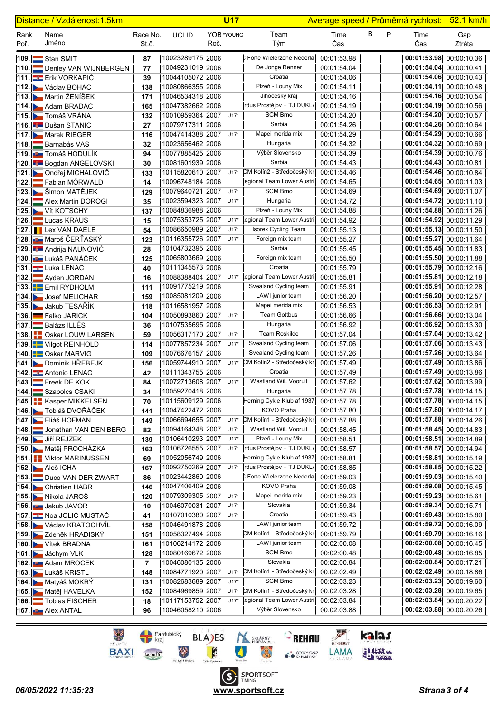| Distance / Vzdálenost:1.5km |                                                       |                   | <b>U17</b>                           |      |            | Average speed / Průměrná rychlost:             |                            |   |   | <u>52.1 km/h</u>        |                                                    |
|-----------------------------|-------------------------------------------------------|-------------------|--------------------------------------|------|------------|------------------------------------------------|----------------------------|---|---|-------------------------|----------------------------------------------------|
| Rank<br>Poř.                | Name<br>Jméno                                         | Race No.<br>St.č. | UCI ID                               | Roč. | YOB *YOUNG | Team<br>Tým                                    | Time<br>Čas                | В | P | Time<br>Čas             | Gap<br>Ztráta                                      |
|                             | 109. Stan SMIT                                        | 87                | 10023289175   2006                   |      |            | CForte Wielerzone Nederla                      | 00:01:53.98                |   |   |                         | 00:01:53.98 00:00:10.36                            |
|                             | 110. Denley VAN WIJNBERGEN                            | 77                | 10049231019 2006                     |      |            | De Jonge Renner                                | 00:01:54.04                |   |   | 00:01:54.04 00:00:10.41 |                                                    |
|                             | 111. Erik VORKAPIĆ                                    | 39                | 10044105072 2006                     |      |            | Croatia                                        | 00:01:54.06                |   |   |                         | 00:01:54.06 00:00:10.43                            |
|                             | 112. Václav BOHÁČ                                     | 138               | 10080866355 2006                     |      |            | Plzeň - Louny Mix                              | 00:01:54.11                |   |   |                         | 00:01:54.11 00:00:10.48                            |
|                             | 113. Martin ŽENÍŠEK                                   | 171               | 10046534318 2006                     |      |            | Jihočeský kraj                                 | 00:01:54.16                |   |   |                         | 00:01:54.16 00:00:10.54                            |
|                             | 114. Adam BRADÁČ                                      | 165               | 10047382662 2006                     |      |            | rdus Prostějov + TJ DUKL/<br><b>SCM Brno</b>   | 00:01:54.19                |   |   |                         | 00:01:54.19 00:00:10.56                            |
|                             | 115. Tomáš VRÁNA                                      | 132               | 10010959364 2007<br>10079717311 2006 |      | $U17*$     | Serbia                                         | 00:01:54.20<br>00:01:54.26 |   |   | 00:01:54.20 00:00:10.57 | 00:01:54.26 00:00:10.64                            |
|                             | 116. Dušan STANIĆ<br>117. Marek RIEGER                | 27<br>116         | 10047414388 2007                     |      | $U17*$     | Mapei merida mix                               | 00:01:54.29                |   |   |                         | 00:01:54.29 00:00:10.66                            |
|                             | 118. Barnabás VAS                                     | 32                | 10023656462 2006                     |      |            | Hungaria                                       | 00:01:54.32                |   |   |                         | 00:01:54.32 00:00:10.69                            |
|                             | 119. <b>BU Tomáš HODULÍK</b>                          | 94                | 10077885425 2006                     |      |            | Výběr Slovensko                                | 00:01:54.39                |   |   |                         | 00:01:54.39 00:00:10.76                            |
|                             | 120. Bogdan ANGELOVSKI                                | 30                | 10081601939 2006                     |      |            | Serbia                                         | 00:01:54.43                |   |   | 00:01:54.43 00:00:10.81 |                                                    |
|                             | 121. Ondřej MICHALOVIČ                                | 133               | 10115820610 2007                     |      | $U17*$     | CM Kolín2 - Středočeský kr                     | 00:01:54.46                |   |   | 00:01:54.46 00:00:10.84 |                                                    |
|                             | 122. Fabian MÖRWALD                                   | 14                | 10096748184 2006                     |      |            | egional Team Lower Austri                      | 00:01:54.65                |   |   | 00:01:54.65 00:00:11.03 |                                                    |
|                             | 123. Simon MATĚJEK                                    | 129               | 10079640721 2007                     |      | $U17*$     | <b>SCM Brno</b>                                | 00:01:54.69                |   |   |                         | 00:01:54.69 00:00:11.07                            |
|                             | 124. Alex Martin DOROGI                               | 35                | 10023594323 2007                     |      | $U17*$     | Hungaria                                       | 00:01:54.72                |   |   |                         | 00:01:54.72 00:00:11.10                            |
|                             | 125. Vít KOTSCHY                                      | 137               | 10084836988 2006                     |      |            | Plzeň - Louny Mix                              | 00:01:54.88                |   |   |                         | 00:01:54.88 00:00:11.26                            |
|                             | 126. Lucas KRAUS                                      | 15                | 10075353725 2007                     |      | $U17*$     | legional Team Lower Austri                     | 00:01:54.92                |   |   |                         | 00:01:54.92 00:00:11.29                            |
|                             | 127. <b>I</b> Lex VAN DAELE                           | 54                | 10086650989 2007                     |      | $U17*$     | Isorex Cycling Team                            | 00:01:55.13                |   |   |                         | 00:01:55.13 00:00:11.50                            |
|                             | 128. W Maroš ČERŤASKÝ                                 | 123               | 10116355726 2007                     |      | $U17*$     | Foreign mix team                               | 00:01:55.27                |   |   |                         | 00:01:55.27 00:00:11.64                            |
|                             | 129. <b>∴ Andrija NAUNOVIĆ</b>                        | 28                | 10104732395 2006<br>10065803669 2006 |      |            | Serbia                                         | 00:01:55.45                |   |   |                         | 00:01:55.45 00:00:11.83<br>00:01:55.50 00:00:11.88 |
|                             | <b>130. EU Lukáš PANÁČEK</b>                          | 125               | 10111345573 2006                     |      |            | Foreign mix team<br>Croatia                    | 00:01:55.50<br>00:01:55.79 |   |   |                         | 00:01:55.79 00:00:12.16                            |
|                             | 131. Luka LENAC<br>132. Ayden JORDAN                  | 40<br>16          | 10088388404 2007                     |      | $U17*$     | egional Team Lower Austri                      | 00:01:55.81                |   |   |                         | 00:01:55.81 00:00:12.18                            |
|                             | 133. Emil RYDHOLM                                     | 111               | 10091775219 2006                     |      |            | Svealand Cycling team                          | 00:01:55.91                |   |   | 00:01:55.91 00:00:12.28 |                                                    |
|                             | 134. Josef MELICHAR                                   | 159               | 10085081209 2006                     |      |            | LAWI junior team                               | 00:01:56.20                |   |   |                         | 00:01:56.20 00:00:12.57                            |
|                             | 135. Jakub TESAŘÍK                                    | 118               | 10116581957 2008                     |      |            | Mapei merida mix                               | 00:01:56.53                |   |   | 00:01:56.53 00:00:12.91 |                                                    |
|                             | 136. Elko JARICK                                      | 104               | 10050893860 2007                     |      | $U17*$     | <b>Team Gottbus</b>                            | 00:01:56.66                |   |   |                         | 00:01:56.66 00:00:13.04                            |
|                             | 137. Balázs ILLÉS                                     | 36                | 10107535695 2006                     |      |            | Hungaria                                       | 00:01:56.92                |   |   |                         | 00:01:56.92 00:00:13.30                            |
|                             | 138. <b>Pape 128 Second 138.</b> Post and LOUW LARSEN | 59                | 10056317170 2007                     |      | $U17*$     | Team Roskilde                                  | 00:01:57.04                |   |   |                         | 00:01:57.04 00:00:13.42                            |
|                             | 139. Vilgot REINHOLD                                  | 114               | 10077857234 2007                     |      | $U17*$     | Svealand Cycling team                          | 00:01:57.06                |   |   |                         | 00:01:57.06 00:00:13.43                            |
|                             | 140. <b>Bullet</b> Oskar MARVIG                       | 109               | 10076676157 2006                     |      |            | Svealand Cycling team                          | 00:01:57.26                |   |   | 00:01:57.26 00:00:13.64 |                                                    |
|                             | 141. Dominik HŘEBEJK                                  | 156               | 10059744910 2007                     |      | $U17*$     | CM Kolín2 - Středočeský kr                     | 00:01:57.49                |   |   |                         | 00:01:57.49 00:00:13.86                            |
|                             | 142. Antonio LENAC                                    | 42                | 10111343755 2006                     |      |            | Croatia                                        | 00:01:57.49                |   |   |                         | 00:01:57.49 00:00:13.86                            |
|                             | 143. Freek DE KOK                                     | 84                | 10072713608 2007<br>10059270418 2006 |      | $U17*$     | Westland WiL Vooruit                           | 00:01:57.62                |   |   |                         | 00:01:57.62 00:00:13.99<br>00:01:57.78 00:00:14.15 |
|                             | 144. Szabolcs CSÁKI<br>145. EKasper MIKKELSEN         | 34<br>70          | 10115609129 2006                     |      |            | Hungaria<br>Herning Cykle Klub af 1937         | 00:01:57.78<br>00:01:57.78 |   |   |                         | 00:01:57.78 00:00:14.15                            |
|                             | 146. Tobiáš DVOŘÁČEK                                  | 141               | 10047422472 2006                     |      |            | KOVO Praha                                     | 00:01:57.80                |   |   |                         | 00:01:57.80 00:00:14.17                            |
|                             | 147. Eliáš HOFMAN                                     | 149               | 10066694655 2007                     |      | $U17*$     | CM Kolín1 - Středočeský kr                     | 00:01:57.88                |   |   | 00:01:57.88 00:00:14.26 |                                                    |
|                             | 148. Jonathan VAN DEN BERG                            | 82                | 10094164348 2007                     |      | $U17*$     | Westland WiL Vooruit                           | 00:01:58.45                |   |   |                         | 00:01:58.45 00:00:14.83                            |
|                             | 149. Jiří REJZEK                                      | 139               | 10106410293 2007                     |      | $U17*$     | Plzeň - Louny Mix                              | 00:01:58.51                |   |   |                         | 00:01:58.51 00:00:14.89                            |
|                             | 150. Matěj PROCHÁZKA                                  | 163               | 10106726555 2007                     |      | $U17*$     | rdus Prostějov + TJ DUKL/                      | 00:01:58.57                |   |   |                         | 00:01:58.57 00:00:14.94                            |
|                             | <b>151. EViktor MARINUSSEN</b>                        | 69                | 10052056749 2006                     |      |            | Herning Cykle Klub af 1937                     | 00:01:58.81                |   |   |                         | 00:01:58.81 00:00:15.19                            |
|                             | 152. Aleš ICHA                                        | 167               | 10092750269 2007                     |      | $U17*$     | rdus Prostějov + TJ DUKL/                      | 00:01:58.85                |   |   |                         | 00:01:58.85 00:00:15.22                            |
|                             | 153. Duco VAN DER ZWART                               | 86                | 10023442860 2006                     |      |            | Forte Wielerzone Nederla                       | 00:01:59.03                |   |   |                         | 00:01:59.03 00:00:15.40                            |
|                             | 154. Christien HABR                                   | 146               | 10047406409 2006                     |      |            | KOVO Praha                                     | 00:01:59.08                |   |   |                         | 00:01:59.08 00:00:15.45                            |
|                             | 155. Nikola JAROŠ                                     | 120               | 10079309305 2007                     |      | $U17*$     | Mapei merida mix                               | 00:01:59.23                |   |   |                         | 00:01:59.23 00:00:15.61                            |
|                             | 156. U Jakub JAVOR                                    | 10                | 10046070031 2007                     |      | $U17*$     | Slovakia                                       | 00:01:59.34                |   |   | 00:01:59.34 00:00:15.71 |                                                    |
|                             | <b>157. E Noa JOLIĆ MUSTAĆ</b>                        | 41                | 10107010380 2007                     |      | $U17*$     | Croatia                                        | 00:01:59.43                |   |   |                         | 00:01:59.43 00:00:15.80                            |
|                             | 158. Václav KRATOCHVÍL<br>159. Zdeněk HRADISKÝ        | 158               | 10046491878 2006<br>10058327494 2006 |      |            | LAWI junior team<br>CM Kolín1 - Středočeský kr | 00:01:59.72<br>00:01:59.79 |   |   |                         | 00:01:59.72 00:00:16.09<br>00:01:59.79 00:00:16.16 |
|                             | 160. Vítek BRADNA                                     | 151<br>161        | 10106214172 2008                     |      |            | LAWI junior team                               | 00:02:00.08                |   |   |                         | 00:02:00.08 00:00:16.45                            |
|                             | 161. Jáchym VLK                                       | 128               | 10080169672 2006                     |      |            | <b>SCM Brno</b>                                | 00:02:00.48                |   |   |                         | 00:02:00.48 00:00:16.85                            |
|                             | 162. Bu Adam MROCEK                                   | 7                 | 10046080135 2006                     |      |            | Slovakia                                       | 00:02:00.84                |   |   |                         | 00:02:00.84 00:00:17.21                            |
|                             | 163. Lukáš KRISTL                                     | 148               | 10084771920 2007                     |      | $U17*$     | CM Kolín1 - Středočeský kr                     | 00:02:02.49                |   |   |                         | 00:02:02.49 00:00:18.86                            |
|                             | 164. Matyáš MOKRÝ                                     | 131               | 10082683689 2007                     |      | $U17*$     | <b>SCM Brno</b>                                | 00:02:03.23                |   |   |                         | 00:02:03.23 00:00:19.60                            |
|                             | 165. Matěj HAVELKA                                    | 152               | 10084969859 2007                     |      | $U17*$     | CM Kolín1 - Středočeský kr                     | 00:02:03.28                |   |   |                         | 00:02:03.28 00:00:19.65                            |
|                             | 166. Tobias FISCHER                                   | 18                | 10117153752 2007                     |      | $U17*$     | egional Team Lower Austri                      | 00:02:03.84                |   |   |                         | 00:02:03.84 00:00:20.22                            |
|                             | 167. Bu Alex ANTAL                                    | 96                | 10046058210 2006                     |      |            | Výběr Slovensko                                | 00:02:03.88                |   |   |                         | 00:02:03.88 00:00:20.26                            |

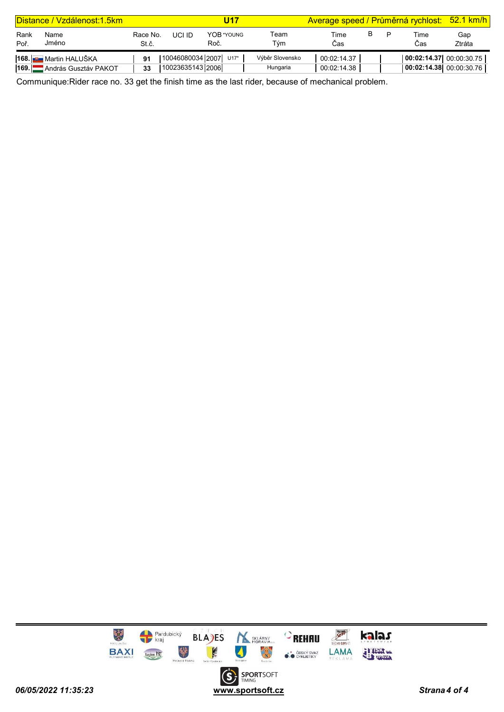|              | Distance / Vzdálenost: 1.5km |                   |                  | U17                   |                 | Average speed / Průměrná rychlost: 52.1 km/h |  |                         |               |
|--------------|------------------------------|-------------------|------------------|-----------------------|-----------------|----------------------------------------------|--|-------------------------|---------------|
| Rank<br>Poř. | Name<br>Jméno                | Race No.<br>St.č. | UCI ID           | YOR *YOUNG<br>Roč.    | Геаm<br>Tým     | Time<br>Cas                                  |  | Time<br>Cas             | Gap<br>Ztráta |
|              | <b>168. E</b> Martin HALUŠKA | 91                |                  | 10046080034 2007 U17* | Výběr Slovensko | 00:02:14.37                                  |  | 00:02:14.37 00:00:30.75 |               |
| <b>169.L</b> | András Gusztáv PAKOT         | 33                | 10023635143 2006 |                       | Hungaria        | 00:02:14.38                                  |  | 00:02:14.38 00:00:30.76 |               |

Communique:Rider race no. 33 get the finish time as the last rider, because of mechanical problem.